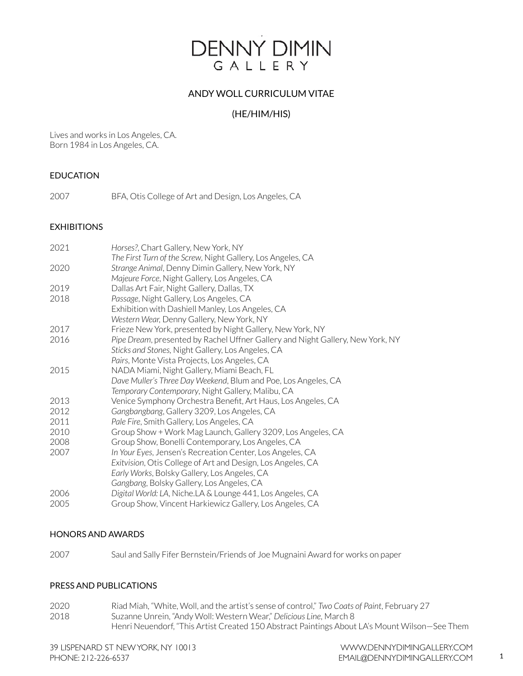# **DENNY DIMIN** GALLERY

# ANDY WOLL CURRICULUM VITAE

# (HE/HIM/HIS)

Lives and works in Los Angeles, CA. Born 1984 in Los Angeles, CA.

## EDUCATION

2007 BFA, Otis College of Art and Design, Los Angeles, CA

## EXHIBITIONS

| 2021 | Horses?, Chart Gallery, New York, NY                                           |
|------|--------------------------------------------------------------------------------|
|      | The First Turn of the Screw, Night Gallery, Los Angeles, CA                    |
| 2020 | Strange Animal, Denny Dimin Gallery, New York, NY                              |
|      | Majeure Force, Night Gallery, Los Angeles, CA                                  |
| 2019 | Dallas Art Fair, Night Gallery, Dallas, TX                                     |
| 2018 | Passage, Night Gallery, Los Angeles, CA                                        |
|      | Exhibition with Dashiell Manley, Los Angeles, CA                               |
|      | Western Wear, Denny Gallery, New York, NY                                      |
| 2017 | Frieze New York, presented by Night Gallery, New York, NY                      |
| 2016 | Pipe Dream, presented by Rachel Uffner Gallery and Night Gallery, New York, NY |
|      | Sticks and Stones, Night Gallery, Los Angeles, CA                              |
|      | Pairs, Monte Vista Projects, Los Angeles, CA                                   |
| 2015 | NADA Miami, Night Gallery, Miami Beach, FL                                     |
|      | Dave Muller's Three Day Weekend, Blum and Poe, Los Angeles, CA                 |
|      | Temporary Contemporary, Night Gallery, Malibu, CA                              |
| 2013 | Venice Symphony Orchestra Benefit, Art Haus, Los Angeles, CA                   |
| 2012 | Gangbangbang, Gallery 3209, Los Angeles, CA                                    |
| 2011 | Pale Fire, Smith Gallery, Los Angeles, CA                                      |
| 2010 | Group Show + Work Mag Launch, Gallery 3209, Los Angeles, CA                    |
| 2008 | Group Show, Bonelli Contemporary, Los Angeles, CA                              |
| 2007 | In Your Eyes, Jensen's Recreation Center, Los Angeles, CA                      |
|      | Exitvision, Otis College of Art and Design, Los Angeles, CA                    |
|      | Early Works, Bolsky Gallery, Los Angeles, CA                                   |
|      | Gangbang, Bolsky Gallery, Los Angeles, CA                                      |
| 2006 | Digital World: LA, Niche.LA & Lounge 441, Los Angeles, CA                      |
| 2005 | Group Show, Vincent Harkiewicz Gallery, Los Angeles, CA                        |
|      |                                                                                |

#### HONORS AND AWARDS

2007 Saul and Sally Fifer Bernstein/Friends of Joe Mugnaini Award for works on paper

#### PRESS AND PUBLICATIONS

2020 Riad Miah, "White, Woll, and the artist's sense of control," *Two Coats of Paint*, February 27 2018 Suzanne Unrein, "Andy Woll: Western Wear," *Delicious Line*, March 8 Henri Neuendorf, "This Artist Created 150 Abstract Paintings About LA's Mount Wilson—See Them

1